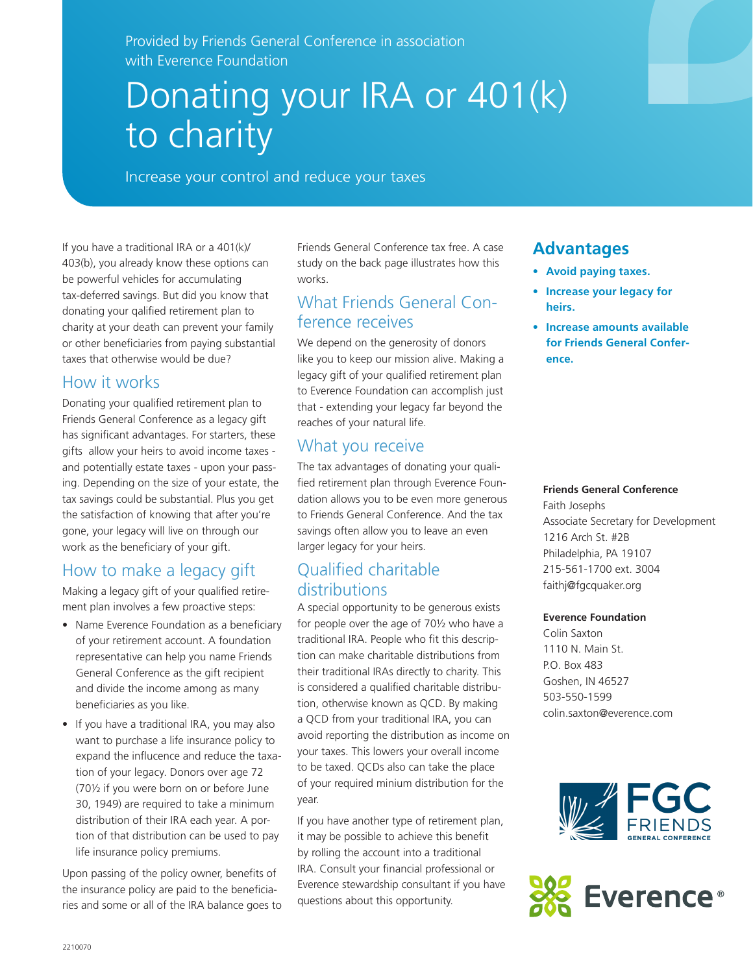Provided by Friends General Conference in association with Everence Foundation

# Donating your IRA or 401(k) to charity

Increase your control and reduce your taxes

If you have a traditional IRA or a 401(k)/ 403(b), you already know these options can be powerful vehicles for accumulating tax-deferred savings. But did you know that donating your qalified retirement plan to charity at your death can prevent your family or other beneficiaries from paying substantial taxes that otherwise would be due?

## How it works

Donating your qualified retirement plan to Friends General Conference as a legacy gift has significant advantages. For starters, these gifts allow your heirs to avoid income taxes and potentially estate taxes - upon your passing. Depending on the size of your estate, the tax savings could be substantial. Plus you get the satisfaction of knowing that after you're gone, your legacy will live on through our work as the beneficiary of your gift.

## How to make a legacy gift

Making a legacy gift of your qualified retirement plan involves a few proactive steps:

- Name Everence Foundation as a beneficiary of your retirement account. A foundation representative can help you name Friends General Conference as the gift recipient and divide the income among as many beneficiaries as you like.
- If you have a traditional IRA, you may also want to purchase a life insurance policy to expand the influcence and reduce the taxation of your legacy. Donors over age 72 (70½ if you were born on or before June 30, 1949) are required to take a minimum distribution of their IRA each year. A portion of that distribution can be used to pay life insurance policy premiums.

Upon passing of the policy owner, benefits of the insurance policy are paid to the beneficiaries and some or all of the IRA balance goes to Friends General Conference tax free. A case study on the back page illustrates how this works.

#### What Friends General Conference receives

We depend on the generosity of donors like you to keep our mission alive. Making a legacy gift of your qualified retirement plan to Everence Foundation can accomplish just that - extending your legacy far beyond the reaches of your natural life.

# What you receive

The tax advantages of donating your qualified retirement plan through Everence Foundation allows you to be even more generous to Friends General Conference. And the tax savings often allow you to leave an even larger legacy for your heirs.

# Qualified charitable distributions

A special opportunity to be generous exists for people over the age of 70½ who have a traditional IRA. People who fit this description can make charitable distributions from their traditional IRAs directly to charity. This is considered a qualified charitable distribution, otherwise known as QCD. By making a QCD from your traditional IRA, you can avoid reporting the distribution as income on your taxes. This lowers your overall income to be taxed. QCDs also can take the place of your required minium distribution for the year.

If you have another type of retirement plan, it may be possible to achieve this benefit by rolling the account into a traditional IRA. Consult your financial professional or Everence stewardship consultant if you have questions about this opportunity.

# **Advantages**

- **• Avoid paying taxes.**
- **• Increase your legacy for heirs.**
- **• Increase amounts available for Friends General Conference.**

#### **Friends General Conference**

Faith Josephs Associate Secretary for Development 1216 Arch St. #2B Philadelphia, PA 19107 215-561-1700 ext. 3004 faithj@fgcquaker.org

#### **Everence Foundation**

Colin Saxton 1110 N. Main St. P.O. Box 483 Goshen, IN 46527 503-550-1599 colin.saxton@everence.com